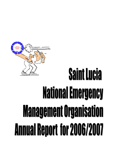# **Saint Lucia National Emergency Management Organisation Annual Report for 2006/2007**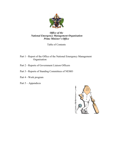

#### *Office of the National Emergency Management Organisation Prime Minister's Office*

Table of Contents

- Part 1 Report of the Office of the National Emergency Management Organisation
- Part 2 Reports of Government Liaison Officers
- Part 3 Reports of Standing Committees of NEMO
- Part 4 Work program
- Part 5 Appendices

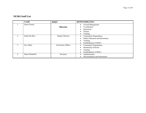#### **NEMO Staff List**

|                  | <b>NAME</b>    | <b>POST</b>         | <b>RESPONSIBILITIES</b>          |  |  |
|------------------|----------------|---------------------|----------------------------------|--|--|
|                  | Dawn French    |                     | Overall Management               |  |  |
|                  |                | <b>Director</b>     | Coordination                     |  |  |
|                  |                |                     | Operations                       |  |  |
|                  |                |                     | Finance                          |  |  |
|                  |                |                     | Training                         |  |  |
| $\overline{2}$ . | Julian Du Bois | Deputy Director     | <b>Community Preparedness</b>    |  |  |
|                  |                |                     | Public Education and Information |  |  |
|                  |                |                     | Training                         |  |  |
|                  |                |                     | Establishment of MOUs            |  |  |
| 3 <sub>1</sub>   | Fay Albert     | Inventories Officer | <b>Community Preparedness</b>    |  |  |
|                  |                |                     | Monitoring of Stocks             |  |  |
|                  |                |                     | Training                         |  |  |
|                  |                |                     | Establishment of MOUs            |  |  |
| 4.               | Maria Mombelli | Secretary           | Administration                   |  |  |
|                  |                |                     | Documentation and Information    |  |  |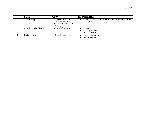|                  | <b>NAME</b>                | <b>POST</b>                                                                                       | <b>RESPONSIBILITIES</b>                                                                                          |
|------------------|----------------------------|---------------------------------------------------------------------------------------------------|------------------------------------------------------------------------------------------------------------------|
|                  | Andrew George              | Human Resource<br>Development Officer<br>(Seconded from National<br><b>Printing Corporation</b> ) | Review of Continuity of Operations Plans for Ministries, Private<br>Sector, NGOs, Faith Based Organisations etc. |
| $\mathfrak{b}$ . | Anne Noel / Milda Narcisse | <b>Cleaner/Office Assistant</b>                                                                   | Cleaning<br>Collating documents<br>Delivery of Mail                                                              |
|                  | Daniel Isimbert            | Driver/Office Assistant                                                                           | Collating documents<br>Delivery of Mail                                                                          |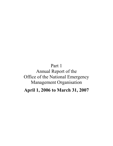## Part 1

## Annual Report of the Office of the National Emergency Management Organisation

**April 1, 2006 to March 31, 2007**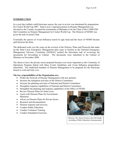#### **INTRODUCTION**

In a year that yielded a mild hurricane season, the year in review was dominated by preparations for Cricket World Cup 2007. Saint Lucia's regional position in Disaster Management was elevated as the Country accepted the nomination of Barbados to be the Chair of the CARICOM Sub Committee on Disaster Management for Cricket World Cup. The Director of NEMO was given the task of actual Chair.

Eventually the specter of Avian Influenza reared its ugly head and the focus of NEMO became spilt between the three.

The dedicated work over the years on the revision of the Policies, Plans and Protocols that make up the Saint Lucia Emergency Management plan came to fruition as the National Emergency Management Advisory Committee [NEMAC] tackled the Herculean task of reviewing the documents for forwarding to Cabinet. The documents were submitted to the Cabinet of Ministers in November 2006.

The thrust to have the private sector prepared became even more important as the Continuity of Operations Program linked with Mass Events Guidelines and Avian Influenza preparedness intensified. The traditional mandate of Disaster Management to be prepared for the Hurricane Season is well and truly over.

#### **The key responsibilities of the Organisation are:**

- Widen the Network of Disaster Management with new partners
- Increase the mitigation activities of the District Committees
- Increase the planning activities of National and District Committees
- Strengthen response capabilities of National and District Committees
- Strengthen the planning and response capabilities of the Office of NEMO
- Review Disaster Plans for Saint Lucia
- Assist with Disaster Plans for Government **Ministries**
- Advise on Disaster Plans for Private Sector
- Research and documentation
- Disaster response and recovery
- Conduct Public Education
- Conduct Volunteer Training
- Conduct Simulation Exercises



Director, Ms. Dawn French at the GIS Studio recording a Public Education Announcement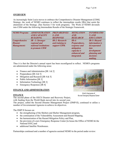#### **OVERVIEW**

As increasingly Saint Lucia moves to embrace the Comprehensive Disaster Management [CDM] Strategy; the work of NEMO continues to reflect the intermediate results [IRs] that assist the attainment of the Strategy. [See Section 5 for work program]. The Work of NEMO dovetails into CDM under the following Intermediate Results of the Strategic Framework.

| <b>NEMO Program:</b> | <b>ADMINISTRATION</b> | <b>PREPAREDNES</b>    | <b>MITIGATION</b>  | <b>INFORMATIO</b>     |
|----------------------|-----------------------|-----------------------|--------------------|-----------------------|
|                      | <b>AND CAPACITY</b>   | <b>SAND</b>           | AND                | NAND                  |
|                      | <b>BUILDING</b>       | <b>RESPONSE</b>       | <b>RESEARCH</b>    | <b>EDUCATION</b>      |
| <b>Comprehensive</b> | $IR - 1$ : Stronger   | <b>IR-2: Research</b> | $IR-4$ :           | <b>IR-5: Hazard</b>   |
| <b>Disaster</b>      | regional and          | and training to       | Preparedness,      | <i>information is</i> |
| <b>Management:</b>   | national institutions | support CDM.          | response and       | <i>incorporated</i>   |
|                      | to promote CDM        |                       | mitigation         | <i>into</i>           |
|                      |                       |                       | capacity is        | development           |
|                      |                       |                       | enhanced and       | planning and          |
|                      |                       |                       | <i>integrated.</i> | decision-             |
|                      |                       |                       |                    | making.               |

Thus it is that the Director's annual report has been reconfigured to reflect. NEMO's programs are administered under the following areas:

- Finance and Administration [IR  $1 & 2$ ]
- Preparedness [IR  $4 & 5$ ]
- Mitigation and Research [IR  $4 & 5$ ]
- Public Information [IR 3]
- Information Technology [IR 3]
- Emergency Responses [IR 4]

#### **FINANCE AND ADMINISTRATION**

#### **FINANCE**

The second phase of the OECS Disaster and Recovery Project,

with funding from the World Bank moved into its second year.

The project, called the Second Disaster Management Project (DMP-II), continued to utilize a number of Governmental Agencies to achieve its objectives.

The DMP II focuses on:

- the strengthening of the Shelters and Shelter Management program,
- the continuation of the Vulnerability Assessment and Hazard Mapping,
- the harmonization of the Hazard Mitigation Policy and Plan,
- the provision of a new Emergency Response Center [to house the Office of NEMO & the National EOC] and
- additional Satellite Warehouses.

Partnerships continued and a number of agencies assisted NEMO in the period under review:



Artist's Impression of the new Emergency Response Center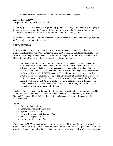• National Printing Corporation – Public Information, Annual Report

#### **ADMINISTRATION**

The post of Inventory Officer was filled.

Increasingly the NEMO Secretariat is providing apprentice training to a number of young people through programs such as the National Skills Training Program, the National Conservation Authority and Centre for Adolescence Rehabilitation and Education [CARE].

Discussions were initiated with the Japanese Volunteer Program in the hope of having a Training Officer stationed with the Secretariat.

#### **PREPAREDNESS**

In May 2006 the House sat to debate the new Disaster Management Act. The Disaster Management Act No 30 of 2006 replaces the Disaster Preparedness and Response Act No 13 of 2000. Chief among the amendments is the addition of the powers for enforced evacuation, the Declaration of a Disaster and the Code Alert for Volcanic Situations.

For volcanic eruptions in neighbouring countries Saint Lucia has instituted an aditional Alert level: the blue alert level, which will involve a blue level meeting; that is, a volcanic eruption is likely to occur or has occurred in a neighbouring island that may have effects in Saint Lucia. The warning of a blue alert will not be given to the NEMO by the Seismic Research Unit [SRU], since the SRU only issues a change in an alert level status to the relevant government (e.g., to the Government of Grenada if the activity is at Kick 'em Jenny). NEMO will only receive information from the SRU in the form of a Scientific Advisory. The SRU does not have a blue alert level; so it is a decision of the NEMO to declare a blue alert level when there is volcanic activity in a neighbouring island, thus triggering a meeting of NEMAC.

The legislation shall also provide support to the cadre of Evacuation Plans in development. The Saint Lucia Evacuation Plan is a collection of Documents and is supported by the Saint Lucia National Emergency Plans, Policies, Legislation and Standard Operating Procedures. The documents are:

#### Volume

- 1. Concept of Operations
- 2. Emergency Shelters [Annual List]
- 3. Special Needs Evacuation Plan
- 4. Animal Evacuation and Recovery Plan
- 5. Traffic Management Plan
- 6. Community Evacuation Plans

The annual SLASPA Simulation for its airports took place November 2006. The airport tested was the Hewanorra International Airport and NEMO was commissioned to plan and execute the exercise. Planning proved to be a challenge as the agencies mandated to plan the event was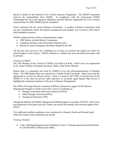placed in doubt by the National Civil Aviation Security Programme. The DRAFT document removes the responsibility from NEMO. In compliance with the requirement NEMO relinquished the role to the Agencies identified, until the Ministry responsible for Civil Aviation requested that for 2006 NEMO plan the simulation.

Work continued with the various Disaster Committees. A number of District Committees held one day consultations where the disaster management and mandate was reviewed, while others held simulation exercises.

NEMO conducted tests of three communications media:

- VHF Radios with the District Committees,
- Telephone Hotlines with all the Radio Stations and a
- Hurricane season Emergency Broadcast Signal by the GIS.

All the tests have proved to be a challenge as on many an occasion the signal was either not acknowledged or not relayed. NEMO continues to conduct the tests and hold discussions with its partners.

Council of CDERA

The 14th Meeting of the Council of CDERA was held in St Kitts. Saint Lucia was represented by Dr. James Fletcher, Permanent Secretary, Office of the Prime Minister.

Region Rap is a simulation tool used by CDERA to test the telecommunications of Member States. The 2006 Region Rap was centered on a Cricket World Cup theme. Saint Lucia took the opportunity to review its telecom system. There is a need for the NTRC to become part of the NEMO as is the need for private radio operators to recommit again Region Rap served to highlight the continued weakness in this area of Disaster Management.

The Office of Foreign Disaster Assistance [OFDA] continued its support of the Disaster Management Program in Saint Lucia with a series of workshops in

- Damage Assessment and Needs Analysis [DANA]
- Initial Damage Assessment [IDA]
- Training of Instructors [TFI]

Though the Shelters and Shelter Management [SSM] program is a product of OFDA, Saint Lucia has progressed to the point were the Country can sustain the training with minimal support from OFDA.

Two additional satellite warehouses were constructed in Dennery North and Micoud South, while the Castries North warehouse has started.

#### *Training Attended*

• 5-day 'Meeting Management & Facilitation Course' in Panama sponsored and facilitated by USAID-OFDA (March-April 2006).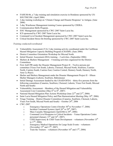- FAHUM-06, a 7-day training and simulation exercise in Honduras sponsored by US-SOUTHCOM. (April 2006)
- 2-day training workshop on 'Climate Change and Disaster Response' in Antigua. (June 2006)
- 3-day Warehouse Management training Course sponsored by CDERA.
- Communication Skills Program.
- EOC Management sponsored by CWC-2007 Saint Lucia Inc.
- ICS sponsored by CWC-2007 Saint Lucia Inc.
- Command Level Incident Management sponsored by CWC-2007 Saint Lucia Inc.
- Critical Incident Stress De-briefing sponsored by CWC-2007 Saint Lucia Inc.

#### *Training conducted/coordinated*

- Vulnerability Assessment (VA) 3-day training activity coordinated under the Caribbean Hazard Mitigation Capacity Building Program (CHAMP). (June 2006)
- District Committee Orientation Workshop for Micoud North.
- Initial Disaster Assessment (IDA) training 2 activities. (September 2006)
- Shelters  $\&$  Shelters Management  $-4$  training activities organized for the District Committees.
- First Aid/CPR under the Disaster Management Project II Twelve persons per committee (Vieux Fort South, Laborie, Choiseul, Micoud North, Soufriere, Castries North, Castries South, Castries East, Castries Central, Dennery South, Dennery North, Anse La Raye).
- Shelter and Shelters Management under the Disaster Management Project II fifteen Shelter Managers (Laborie, Soufriere, Babonneau)
- Initial Damage Assessment funded by the USAID/OFDA thirty-five persons from the following committees (Canaries, Soufriere, Choiseul, Laborie, Vieux Fort South, Micoud North and South)
- Vulnerability Assessment Members of the Hazard Mitigation and Vulnerability Assessment Core Committee (May  $6<sup>th</sup>$  to  $8<sup>th</sup>$ , 2007)
- National Hazard Mitigation Plan Actions Workshop (June  $22<sup>nd</sup>$  and  $23<sup>rd</sup>$ , 2006)
- Saint Lucia Hazard Mitigation Policy and Plan Harmonization Meeting (May  $10^{th}$ , 2006)
- Triage Training District Disaster Committees (Canaries, Soufriere, Choiseul, Laborie, Viuex Fort South, Micoud North and South) – October  $24<sup>th</sup>$ , 2006
- CWC-2007
	- $\circ$  Emergency Operations Centre (October 30<sup>th</sup> to November 1<sup>st</sup>, 2006)
	- $\circ$  Incident Command System (April 26<sup>th</sup> to 29<sup>th</sup>, 2007)
	- o Mass Casualty Management (April 24th to  $29<sup>th</sup>$ , 2006)
	- o Command Level Response to Critical Incidents Venue Operations Centre personnel (January  $15<sup>th</sup>$  and  $16<sup>th</sup>$ , 2007)
	- $\circ$  CISD Supervisory & CISD Team Development volunteers (November 15<sup>th</sup>) to  $17^{\text{th}}$ , 2006)
	- o Emergency Medical Operations for Large Scale Events volunteers (November  $15<sup>th</sup>$  and  $17<sup>th</sup>$ , 2007)
	- $\circ$  Train the Trainers volunteers (November 16<sup>th</sup> and 17<sup>th</sup>, 2006)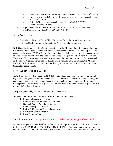- o Critical Incident Stress Debriefing volunteers (January  $18<sup>th</sup>$  and  $19<sup>th</sup>$ , 2007)
- o Emergency Medical Operations for large scale events volunteers (January  $17^{th}$  to  $19^{th}$ , 2007)
- $\circ$  Safety Officers volunteers (January 29<sup>th</sup> to March 2<sup>nd</sup>, 2007)
- o Basic Telecoms Training
- Damage Assessment and Needs Analysis funded by USAID/OFDA members of District Disaster Committees (April  $26^{th}$  to  $28^{th}$ ,  $2006$ )

#### *Simulation Exercises*

- Explosion and fire in a Cruise Ship; 'Freewinds Cruiseline' simulation exercise.
- Airplane Crash; Hewanorra International Airport simulation exercise.

NEMO and the Saint Lucia Fire Service recently signed a Memorandum of Understanding that would assist both Agencies in the delivery of their mandate of preparedness and response. The accord confirms that NEMO will compliment the Saint Lucia Fire Services in volunteers trained in areas such as but not limited to areas such as Stress Management and Emergency Care and Treatment. The new arrangement shall be used to monitor and provide support for events such as the various Weekend Fish Fries, the Kalalu Music Festival, Saint Lucia Jazz, the Atlantic Rally for Cruisers and of course Cricket World Cup; to ensure that the selected venues meet the basic safety requirements

#### **MITIGATION AND RESEARCH**

As NEMAC was unable to meet, the NEMO Secretariat adopted the round robin strategy and began circulating the response documents needed for approval. The list proved to be a long one and documents were sent to the members every two weeks with a ballot attacked for approval or non approval. The deadline for responses was set for October 27, with a lack or response from a member indicating tacit assent.

The plans approved by NEMAC and taken to Cabinet were:

While work continued on a new set of plans and policies to include:

- 1. Policy on Emergency Housing
- 2. Policy Guidelines on Mass Crowd Events
- 3. National Plan on Ambulance Services
- 4. Policy on Displaced Persons
- 5. Policy Guidelines on Debris Management
- 6. Emergency Shelter Program
- 7. Mass Causality Plan

The full list may be seen at http://www.geocities.com/slunemo/response\_plans/memo.html

Disaster Management found itself at the forefront of the Sporting World as Saint Lucia prepared to host the **2007 Cricket World Cup [CWC 2007].** The main challenge was one of communications as the LOC, Ministers, Ambassadors and CARICOM turned increasingly to the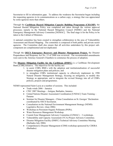Secretariat to fill in information gaps. To address the weakness the Secretariat began including the requesting agencies in its communications as a carbon copy; a strategy that was appreciated by some agencies more than others.

Through the **Caribbean Hazard Mitigation Capacity Building Programme (CHAMP)**, the National Hazard Mitigation Policy was completed and taken through the various approval processes; namely to the National Hazard Mitigation Council [NHMC] and the National Emergency Management Advisory Committee [NEMAC]. The final stage is for the Policy to be taken to the Cabinet of Ministers.

A national committee has been created to strengthen collaboration in the area of Vulnerability Assessment and Hazard Mapping. The committee is composed of both public and private sector agencies. The Committee shall also ensure that all activities undertaken by this project subcomponent are complimented and not duplicated.

Though the **OECS Emergency Recovery and Disaster Management Project,** the Disaster Preparedness and Response Act No. 13 of 2000 was reviewed. The recommended amendments were sent to the Attorney General's Chambers to commence the process of adoption.

The **Disaster Mitigation Facility for the Caribbean (DMFC)** is a Caribbean Development Bank [CDB] initiative. The objectives for the facility are:

- 1. to assist CDB's BMCs with the adoption and institutionalisation of successful disaster mitigation plans and policies; and
- 2. to strengthen CDB's institutional capacity to effectively implement its 1998 Natural Disaster Management Strategy, focusing on mitigation, to modify this Strategy as appropriate, and to integrate the revised Strategy into all of CDB's policies, projects and programmes.

NEMO represented Saint Lucia at a number of sessions. This included:

- Trade winds 2006 Jamaica
- CWC 2007 Meetings Antigua, Barbados, Jamaica
- United Nations Disaster Assessment Coordination [UNDAC] Team Training Panama
- Seminar for Disaster Managers China Consultation on St. Georges' Declaration coordinated by OECS Secretariat.
- Consultation on the National Environment Management Strategy (NEMS) Legislative Review. (June 2006)
- Workshop on Persistent Organic Pollutants (POPs).
- Water Resources Management Workshop.
- Coastal Zone Management Advisory Committee (CZMAC) 3 workshops.
- Vulnerability and Capacity Assessment (VCA) Project Advisory Committee.
- Disaster Mitigation Facility (DMFC) Technical Advisory Committee Meeting (Barbados July 2006)
- Comprehensive Disaster Management (CDM) workshop sponsored by CDERA (Barbados)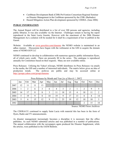- Caribbean Development Bank (CDB) ProVention Consortium Regional Seminar on Disaster Management in the Caribbean sponsored by the CDB. (Barbados)
- Hazard Mitigation Action Plan development sponsored by CDERA. (June 2006)

#### **PUBLIC INFORMATION**

The Annual Report will be distributed to a list of over 200 persons and agencies, including public libraries. It was also available via the Internet. Challenges remain to having the report reproduced in the Saint Lucia Gazette. However with the enactment of the 2006 Disaster Management Act a solution will be needed for it shall be a requirement of law to publish in the Gazett.

Website: Available at www.geocities.com/slunemo the NEMO website is maintained in an adhoc manner. Discussions have begun with the webmaster at the GIS to acquire the domain name of NEMO.GOV.LC

NEMO continued to develop in collaboration with numerous agencies public information flyers, all of which carry credit. There are presently 80 in the series. The catalogue is reproduced annually for Committees based on their requests. Many are now available online.

Press Releases: Utilizing the Yahoo! eGroups, NEMO distributes its Press Releases via emails to the media, the GIS and a number of interested individuals. The matrix below gives an idea of production trends. The archives are public and may be accessed online at http://groups.yahoo.com/group/slunemo

|      | Jan | Feb            | Mar | Apr | May | Jun | Jul | Aug            | Sep | Oct            | <b>Nov</b> | Dec            |
|------|-----|----------------|-----|-----|-----|-----|-----|----------------|-----|----------------|------------|----------------|
| 2007 | 12  | 11             | 11  | 13  |     |     |     |                |     |                |            |                |
| 2006 |     | $\overline{2}$ | 6   | 3   | 6   | 4   | 3   | $\overline{2}$ |     | $\overline{2}$ | 9          |                |
| 2005 | 14  | 17             | 8   | 8   | 3   | 11  | 18  | 15             | 4   | 18             | 11         | $\overline{2}$ |
| 2004 | 5   | 19             | 9   | 8   | 10  | 19  | 9   | 17             | 13  | 8              | 8          | 14             |
| 2003 | 5   | 6              | 15  | 12  | 9   | 21  | 23  | 19             | 12  | 10             | 10         | 3              |
| 2002 |     |                |     |     |     |     |     |                |     | $\overline{2}$ | 15         | 18             |

Press Releases by Month and Year *[as of March 1, 2007]*

Source: NEMO News Archives

The CDERA/CU continued to supply Saint Lucia with material this has been in the form of flyers, Radio and TV announcements.

As disaster management increasingly becomes a discipline it is necessary that the office publishes. As such NEMO submitted articles and was published in a number of publications. The annual collaboration with the newspapers again produced the Disaster Supplement, while the articles, were published in the IAEM Bulletin.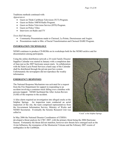Traditions methods continued with:

*Appearances* 

- Guest on Think Caribbean Television (TCT) Program.
- Guest on Helen 100FM Radio Program.
- Guest on Helen Television Service (HTS) Program.
- Guest on Police Vibes
- Interviews on Radio and TV

#### *Town Hall Meetings*

- Community Presentations made to Choiseul, La Pointe, Desruisseaux and Augier.
- Presentations made to Min. of Social Transformation and Choiseul DARE Program.

#### **INFORMATION TECHNOLOGY**

NEMO continues to produce CD-ROMs on its workshops both for the NEMO archive and for dissemination among participants.

Using the online distribution network a 24 week Family Disaster Supplies Calendar was started in January with a completion date of June just as the 2007 hurricane season starts. In collaboration with the Saint Lucia Postal Services a hard copy of the Calendar shall be distributed through the private post box system. Unfortunately the newspapers did not reproduce the weekly information.

#### **EMERGENCY RESPONSES**

The National Response Mechanism was activated for a request from the Fire Department for support in responding to an accident involving a container truck falling over a minibus with persons trapped. NEMO facilitated the After Action Review (AAR) of the response to the accident.

A false alarm required an investigation into alleged cracks at the Sulphur Springs. An inspection team conducted an aerial inspection of the site, the team comprised representatives from the Government Information Service, Ministry of Works and NEMO Secretariat. Eventually the Seismic Research Unit was called in.

In May 2006 the National Disaster Coordinators of CDERA

developed a threat analysis for CWC 2007, with the primary threat being the 2006 Hurricane Season. Fortunately the threat did not manifest, however new threats have emerged such as the Avian Influenza, the resurgence of the Montserrat Volcano and the February 2007 swarm of earthquakes in the Caribbean.



"Crack" at the Sulphur Springs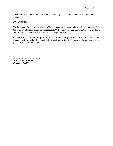It is therefore incumbent upon Governments their Agencies and Personnel to continue to be vigilant.

#### **CONCLUSION**

The hosting of Cricket World Cup 2007 has emphasized the need to have written protocols. Fare too often the Standard Operating Procedures (SOP) of an agency are known but not written down and often lost when the officer with the knowledge moves on.

Cricket World Cup 2007 has provided an opportunity to capture in a written form the Disaster Management protocols. It is hoped that the need for written SOPs become a legacy item and not just an exercise for the games.

………………………………….. **A. L. DAWN FRENCH**  *Director - NEMO*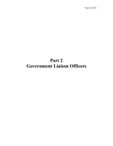## **Part 2 Government Liaison Officers**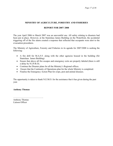#### **MINISTRY OF AGRICULTURE, FORESTRY AND FISHERIES**

#### **REPORT FOR 2007/ 2008**

The year April 2006 to March 2007 was an uneventful one. All safety relating to disasters had been put in place. However, at the Stanislaus James Building on the Waterfront, the accidental triggering off of the fire alarm created a response that reflected that occupants were alert to the evacuation procedures.

The Ministry of Agriculture, Forestry and Fisheries in its agenda for 2007/2008 is seeking the following:

- A fire drill for M.A.F.F. along with the other agencies housed in the building (Sir Stanislaus James Building)
- Ensure that above all fire escapes and emergency exits are properly labeled (there is still a delay by N.I.P.R.O).
- Continue the Disaster plans for all the Ministry's Regional offices.
- Ensure that the Continuity of Operations plan for the whole Ministry is completed.
- Finalise the Emergency Action Plan for crops, pest and animal diseases.

The opportunity is taken to thank N.E.M.O. for the assistance that it has given during the past year.

**Anthony Thomas** 

…………………………………………… Anthony Thomas Liaison Officer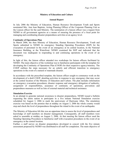#### **Ministry of Education and Culture**

#### **Annual Report**

In July 2006 the Ministry of Education, Human Resource Development Youth and Sports nominated Mrs. Ann Jean Baptiste, Acting Planning Officer of the Corporate Planning Unit as the Liaison officer for the said Ministry. The nomination of a liaison officer was a request from NEMO to all government agencies as a means of ensuring the presence of a focal point for managing and coordinating disaster preparedness activities at an agency level.

#### **Continuity of Operations Plan**

In March 2006, the then Ministry of Education, Human Resource Development, Youth and Sports submitted to NEMO its emergency Standing Operating Procedures (SOP) for the evacuation of personnel in the event of an emergency at its central location, in the National Insurance Building, at the Waterfront. NEMO examined the SOP and indicated that the document was inadequate in responding to and continuing operations in the event of an emergency.

In light of this, the liaison officer attended two workshops for liaison officers facilitated by NEMO. The main objective of the workshop was to familiarize participants with the template for developing the Continuity of Operations Plan (COOP) for their respective agency/ministry. The COOP outlines the steps necessary for an orderly and efficient transition to emergency operations in the event of a natural or manmade disaster.

In accordance with the prescribed template, the liaison officer sought to commence work on the development of a draft COOP, detailing activities in response to any emergency that may occur at the central location of the Ministry of Education and Culture. The plan includes information on emergency evacuation procedures, disaster response and emergency delegation of authority, assignment of responsibilities, assurance of continuity of operations, prevention and preparedness measures as well as lists of external material and technical assistance.

#### **Simulation Exercise**

In an attempt to generate national awareness to disaster preparedness, NEMO issued a bulletin requesting the entire nation to participate in a five minute National Simulation exercise scheduled for August 3, 2006 to mark the anniversary of Hurricane Allen. The simulation exercise was based on the premise that at midday on August 3, 2006 the whole country would stop and check the level of preparedness throughout the island in the event of an earthquake.

The Ministry of Education felt this was an opportune time to assess the level of preparedness and knowledge of staff members on disaster management. Consequently, all staff members were asked to assemble at midday on August 3, 2006. At that meeting the liaison officer used the Standing Operating Procedures to familiarise staff with evacuation procedures in the event of an emergency at the central location.

Further, a staff survey on disaster preparedness developed in concert with the five minute assessment proposed by NEMO was distributed to all staff for completion. The main objective of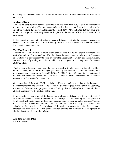the survey was to sensitise staff and assess the Ministry's level of preparedness in the event of an emergency.

#### **Analysis of Data**

The data collated from the survey clearly indicated that more than 50% of staff practice routine measures such as, turning off all appliances and ensuring that everyone leaves the building at the end of the working day. However, the majority of staff (85% -92%) indicated that they have little or no knowledge of measures/procedures in place at the central office in the event of an emergency.

In that respect, it is imperative that the Ministry of Education institute the necessary measures to ensure that all members of staff are sufficiently informed of mechanisms at the central location for managing any emergency.

#### **The Way Forward**

The Ministry of Education and Culture, within the next three months will attempt to complete the draft Continuity of Operations Plan. With the change in nomenclature to Ministry of Education and Culture, it is now necessary to bring on board the Department of Culture and in consultation, assess the level of planning undertaken to address any emergencies at the department's location at Barnard Hill.

The Ministry of Education recognises the need to consult with other tenants of the NIC Building before finalising the COOP. In this regard; the Ministry will attempt to facilitate a meeting with representatives of the Attorney General/s Office, NIPRO, National Community Foundation and the National Insurance Corporation. This is necessary to ensure consistency in evacuation procedures in the event of an emergency.

On completion of the draft COOP the liaison officer will deliver the plan to the Permanent Secretary for review and acceptance. As soon as the plan is accepted by the Permanent Secretary, the process of dissemination proposed by NEMO will guide the Ministry's effort in familiarizing all staff members with the contents of the plan.

In an effort to sensitise principals to disaster preparedness, the Education Officers of Districts 7 & 8 invited NEMO to deliver a presentation on the subject. At that meeting the principals were familiarised with the template for developing disaster plans for their individual districts. To date, those education officers have submitted to the Chief Education Officer, plans developed for schools in their districts. The Ministry of Education proposes to make the necessary arrangements with NEMO so that other education officers can facilitate the development of similar plans for their respective schools.

**Ann Jean Baptiste (Mrs.) Liaison Officer**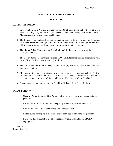#### **ROYAL ST LUCIA POLICE FORCE**

#### **REPORT 2006**

#### **ACTIVITIES FOR 2006**

- 1. In preparation for CWC 2007, officers of the Royal Saint Lucia Police Force attended several training programmes and participated in exercises dealing with Mass Casualty Management and Incident Command System.
- 2. The Police Force conducted a major simulation exercise during the year on the cruise ship *Free Winds*, simulating a bomb explosion which results in serious injuries and loss of life to many passengers. Many lessons were learnt from this exercise.
- 3. The Marine Police Unit participated in a Major Oil Spill table top exercise at the
- 4. Hess Oil Terminal.
- 5. The Deputy Marine Commander attended an Oil Spill Response training programme with CCA (Clean Caribbean and Americas) in Florida.
- 6. The Police Stations of Gros Islet, Central, Marigot, Soufriere, were fitted with new standby generators.
- 7. Members of the Force participated in a major exercise in Honduras called FAHUM (Fuerzas Aliadas Humanitarian). The exercise was aimed at preparing the region to adequately respond to forms of disasters likely to affect Cricket World Cup 2007.
- 8. Several new generators were purchased and installed at various Police Stations.

#### **PLANS FOR 2007**

- 1. Canaries Police Station and the Police Control Room will be fitted with new standby generators.
- 2. Ensure that all Police Stations are adequately prepared for storms and disaster.
- 3. Review the Royal Saint Lucia Police Force Disaster Plan.
- 4. Endeavour to participate in all local disaster exercises and training programmes.
- 5. Ensure the Royal Saint Lucia Police Force has a team on standby for CDERA deployment.

Andre Cox Superintendent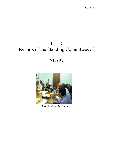## Part 3 Reports of the Standing Committees of

## NEMO



2004 NEMAC Meeting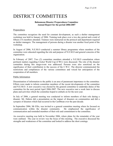## DISTRICT COMMITTEES

#### **Babonneau Disaster Preparedness Committee Annual Report for the period 2006/2007**

#### Preparedness

The committee recognizes the need for constant development, as such a shelter management workshop was held in January of 2006. Training took place over a two day period and a total of fifteen (15) members attended. Trainees were instructed on the protocol and deportment required as shelter managers. The management of persons during a disaster was another focal point of the workshop.

In August of 2006, N.E.M.O conducted a summer library programme where members of the committee were educated regarding the role and purpose of N.E.M.O and general concerns of the organization.

In February of 2007, Two (2) committee members attended a N.E.M.O consultation where pertinent matters regarding Cricket World Cup (CWC) were discussed. The role of the disaster committee during this mega-event was addressed. Persons were also sensitized on the significance of their contribution to the success of the C.W.C. The director communicated the restrictions and compliances of the various committees and voiced her anticipation of the cooperation of all members.

#### Public Information

Dissemination of information to the public is an area of paramount importance to the committee. Efforts were made to inform committee members of the recent developments of the committee and N.E.M.O. A new executive was elected by the general committee to undertake duties of the committee for the next period April 2006-2007. The new executive met a week later to discuss plans and activities which the committee hoped to embark on for the next year.

In July of 2006, a general meeting was conducted to inform members of their role during a disaster. Mr. Dubois did a presentation on the impact of disasters on communities and did a synopsis of disasters which had occurred in the Caribbean over the past decade.

In September 2006, Mr Ellis, was invited to a general committee meeting where he focused on communication within the disaster community. He emphasized the significance of communication and reminded members of their role and commitment to the committee.

An executive meeting was held in November 2006, where plans for the remainder of the year were outlined. The year in review was the focus of this meeting. The executive discussed the strengths and weaknesses of the committee and looked to address the short comings.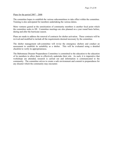#### Plans for the period 2007 – 2008

The committee hopes to establish the various subcommittees to take effect within the committee. Training is also anticipated for members undertaking the various duties.

More ventures geared at the sensitization of community members is another focal point which the committee seeks to fill. Committee meetings are also planned on a year round basis before, during and after the hurricane season.

Plans are made to address the renewal of contracts for shelter activation. These contracts will be revived and modified to include all the requirements deemed necessary by the committee.

The shelter management sub-committee will revise the emergency shelters and conduct an assessment to establish its suitability as a shelter. This will be evaluated using a detailed checklist to verify its appropriateness.

The Babonneau Disaster Preparedness Committee is committed to the education to the education of its members to allow them to effectively undertake their role. As such, it is imperative that workshops are attended, research is carried out and information is communicated to the community. The committee strives to create a safe environment and commit to preparedness for any disaster which the community may encounter.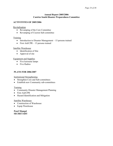#### **Annual Report 2005/2006 Castries South Disaster Preparedness Committee**

#### **ACTIVITITES OF 2005/2006**

Revitalization

- Revamping of the Core Committee
- Revamping of Ciceron Sub-committee

#### **Training**

- Introduction to Disaster Management 15 persons trained
- First Aid/CPR 13 persons trained

#### Satellite Warehouse

- Identification of Site
- Approval of site

#### Equipment and Supplies

- Five kerosene lamps
- Five Radios

#### **PLANS FOR 2006/2007**

Institutional Strengthening

- Strengthen Core and Sub-committees
- Establish new Community sub-committees

#### **Training**

- Community Disaster Management Planning
- First Aid/CPR
- Hazard Identification and Mitigation

#### Satellite Warehouse

- Construction of Warehouse
- Equip Warehouse

**Pearl Mangal SECRETARY**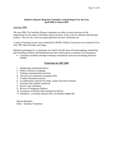#### **Soufriere Disaster Response Committee Annual Report For the Year April 2006 to March 2007**

#### Activities 2006

The year 2006, The Soufriere Disaster committee was able to ensure that most of the requirements for the safety of Soufriere and its environs, in the event of a disaster, had been put in place. However St. Lucia was again spared by last year's hurricane sea

A series of training courses were conducted by NEMO. Fifteen (15) persons were trained in First Aid, CPR, Mass Casualty and Triage.

Members participated in a community tour which took the form of hazard mapping, identifying and recording of elderly and disabled persons that would require evacuation in an emergency.

• Committee members attended workshop consultations and received training hosted by NEMO.

#### **Projections for 2007-2008**

- 1. Membership mobilization Drive
- 2. Public Awareness Campaign
- 3. Training communication exercises
- 4. Revision of Community Evacuation Plan
- 5. Conduct Simulation exercise
- 6. In collaboration with the Fire Dept, conduct fire drill at schools
- 7. Fencing of the satellite warehouse.
- 8. Review sub-committees
- 9. Review of Emergency Shelters.
- 10. Formation of Disaster Sub-committee in Bouton
- 11. Exhibition : (1) Family Disaster Plan, (2) Disaster Supply Kit

Simone Mondesir Chair – Soufriere Committee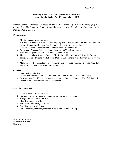#### **Dennery South Disaster Preparedness Committee Report for the Period April 2006 to March 2007**

Dennery South Committee is pleased to present its Annual Report from its thirty (30) man membership. The Committee holds its monthly meetings every first Monday of the month at the Dennery Public Library.

#### **Preparedness**

- 1. Monthly general meetings held.
- 2. Formation of Dennery Volunteer Fire Fighting Unit. The Volunteer Group will assist the Committee and the Dennery Fire Service in all disaster related matters.
- 3. Discussions held on disaster related matters with Volunteer Unit.
- 4. Revision of Disaster Plan and preparations for 2007 hurricane season.
- 5. Tour of Village and La Caye to assess vulnerable areas.
- 6. Three (3) members from the Dennery Fire Fighting Unit and one (1) from the Committee participated in a training workshop on Damage Assessment at the Skyway Hotel, Vieux Fort
- 7. Members of the Volunteer Fire Fighting Unit received training in First Aid, Fire Prevention and Radio Telecommunications.

#### **General**

- 1. Fund raising activities
- 2. Church Service and activities to commemorate the Committee's  $24<sup>th</sup>$  anniversary.
- 3. Presentation of certificates and award ceremony Dennery Volunteer Fire Fighting Unit.
- 4. Presentation of hamper to home for the elderly.

#### **Plans for 2007-2008**

- 1. General review of Disaster Plan.
- 2. Formation of Sub-disaster preparedness committee for La Caye..
- 3. Village tour to include La Caye.
- 4. Identification of hazards.
- 5. Public and fund raising activities.
- 6. Participation in workshops.
- 7. Public lectures, meetings, community development and self-help.

……………………. IVAN GASPARD

Chairman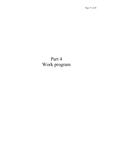## Part 4 Work program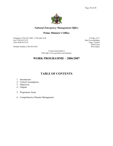

#### *National Emergency Management Office*

#### **Prime Minister's Office**

Telephone (758) 452-3802 / (758)-468-2126 P O Box 1517 Fax (758) 453-2152 Red Cross Building Telex 0398 6272 LC Vigie, Castries

Weather Hotline (758) 454-3452

Saint Lucia<br>West Indies

 E-mail eoc@candw.lc URL http://www.geocities.com/slunemo

#### **WORK PROGRAMME – 2006/2007**

### **TABLE OF CONTENTS**

- 1. Introduction
- 2. Critical Assumptions
- 3. Objectives
- 4. Outputs
- 5. Programme Areas
- 6. Comprehensive Disaster Management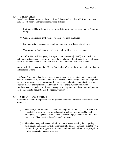#### **1.0 INTRODUCTION**

Hazard analysis and experience have confirmed that Saint Lucia is at risk from numerous hazards, both natural and technological, these include:

- Metrological Hazards: hurricanes, tropical storms, tornadoes, storm-surge, floods and drought.
- Geological Hazards: earthquakes, volcanic eruptions, landslides.
- Environmental Hazards: marine pollution, oil and hazardous material spills.
- $\cdot \cdot$  Transportation Accidents: air aircraft; land vehicular; marine ships.

The role of the National Emergency Management Organisation [NEMO] is to develop, test and implement adequate measures to protect the population of Saint Lucia from the physical, social, environmental and economic effects of both natural and man-made disasters.

Its responsibility is to ensure the efficient functioning of preparedness, prevention, mitigation and response actions.

This Work Programme therefore seeks to promote a comprehensive integrated approach to disaster management by bringing about greater partnership between government, the private sector, non-governmental organisations, donor agencies and regional organisations in an effort to enhance the institutional and human resource capacity, improve national coordination of comprehensive disaster management programmes and activities and provide for the incremental acquisition of the necessary resources.

#### **2.0 CRITICAL ASSUMPTIONS**

In order to successfully implement this programme, the following critical assumptions have been made:

- (1) That emergencies in Saint Lucia may be categorised in two ways. Those that are preceded by a build-up [slow onset] period, which can provide the National Emergency Management Office with advance warnings, which is used to facilitate timely and effective activation of national arrangements.
- (2) That other emergencies occur with little or no advance warning thus requiring mobilization and almost instant commitment of National resources. That the event may require prompt support from Regional and International assistance just prior to or after the onset of such emergencies.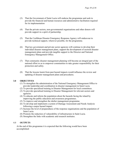- (3) That the Government of Saint Lucia will endorse the programme and seek to provide the financial and human resources and administrative facilitation required for its implementation
- (4) That the private sectors, non-governmental organisations and other donors will provide support in a spirit of partnership.
- (5) That the Caribbean Disaster Emergency Response Agency will endeavour to provide technical support, wherever possible, for the programme.
- (6) That key government and private sector agencies will continue to develop their individual disaster management plans, support the development of sectoral disaster management plans and provide tangible support to the Director and National Emergency Management Office.
- (7) That community disaster management planning will become an integral part of the national effort so as to empower communities to take greater responsibility for their protection and safety.
- (8) That the lessons learnt from past hazard impacts would influence the review and updating of disaster management plans and procedures.

#### **3.0 OBJECTIVES**

- (1) To strengthen the administration of the National Emergency Management Office to provide leadership and coordination in disaster management in Saint Lucia.
- (2) To provide specialised training in Disaster Management for local committees.
- (3) To provide specialised training in Disaster Management for relevant sectors and agencies.
- (4) To educate and inform the population about the hazards facing the island by improving the public education and awareness programmes.
- (5) To improve and strengthen the shelter management programme.
- (6) To develop and implement a system of Damage Assessment and Needs Analysis following a major hazard impact.
- (7) Increase the level of preparedness of the response organisations and the population of Saint Lucia.
- (8) Promote the reduction of vulnerability of infrastructure in Saint Lucia.
- (9) Strengthen the links with academic and research institutes.

#### 4.0 **OUTPUTS**

At the end of this programme it is expected that the following would have been accomplished: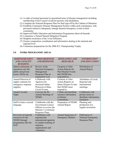- (1) A cadre of trained personnel in specialised areas of disaster management including membership of the Council of and for persons with disabilities.
- (2) Complete the National Response Plan for final sign off by the Cabinet of Ministers
- (3) Establish Community Disaster Management System within each constituency with personnel trained to adequately manage disaster/emergency events in their community.
- (4) Improved Public Education and Information Programmes about all hazards.
- (5) Commence a Natural Hazard Mitigation Program
- (6) Heighten awareness of the Avian Influenza
- (7) Greater cooperation, coordination and information sharing at the national and regional level.
- (8) Commence preparations for the 2008 ICC Championship Trophy

#### **5.0 WORK PROGRAMME AREAS**

| <b>ADMINISTRATION</b><br><b>AND CAPACITY</b><br><b>BUILDING</b>                                 | <b>PREPAREDNESS</b><br><b>AND RESPONSE</b>                                                                                           | <b>MITIGATION AND</b><br><b>RESEARCH</b>                                                                        | <b>INFORMATION</b><br><b>AND EDUCATION</b>                                    |
|-------------------------------------------------------------------------------------------------|--------------------------------------------------------------------------------------------------------------------------------------|-----------------------------------------------------------------------------------------------------------------|-------------------------------------------------------------------------------|
| Imbed continunity of<br>operations into the<br>public and private<br>sector, NGOs etc.          | Review of the<br><b>National Emergency</b><br>Management<br>Response Plan as<br>required by Law.                                     | <b>Creation of After</b><br>Action Reports for<br><b>Past Disaster Events</b><br>that NEMO has<br>responded to. | Distribution of<br>Annual Report.                                             |
| Annual Renewal of<br>supply contracts for<br>emergency response<br>supplies.                    | Collaborate with<br>Agencies for<br>increased Safety<br>Protocols at Mass<br>Crowd Events.                                           | Creation of After<br>Action Reports on<br>future Disaster Events<br>that NEMO must<br>respond to.               | Attendance at Local,<br>Regional and<br>International<br>meetings.            |
| <b>Annual Awards</b><br>Night.                                                                  | Convene the Bi-<br>Annual Meetings of<br>NEMO.                                                                                       | Collate and distribute<br>resource information<br>to District<br>Committees.                                    | Collaborate with<br>private sector to<br>distribute information<br>brochures. |
| Staff to learn a second<br>language.                                                            | Collaborate with the<br>Government Liaison<br>Officers to review the<br>Ministry's Continuity<br>Response Plans.                     | Preparation of NEMO<br>Annual Report.                                                                           | Planning and<br>production of a<br>regular newsletter.                        |
| Provision of material<br>resources for the<br>NEMO through<br>programmes like the<br><b>HAP</b> | Collaborate with<br>regional and<br>international agencies<br>to conduct training of<br>response<br>organisations and<br>volunteers. | Annual Inspection of<br><b>Emergency Shelters</b>                                                               | Publication of<br><b>National Emergency</b><br>Response Plan.                 |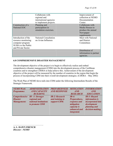|                                                                                                             | Collaborate with<br>regional and<br>international agencies<br>to implement projects. | Improvement of<br>collection at NEMO<br>Documentation<br>Center.                      |
|-------------------------------------------------------------------------------------------------------------|--------------------------------------------------------------------------------------|---------------------------------------------------------------------------------------|
| Construction of a<br>National EOC                                                                           | Planning and<br>participation in<br>simulation exercises.                            | Collaborate with<br>Media Houses to<br>produce the annual<br>Newspaper<br>supplements |
| Introduction of the<br>resource monitoring<br>computer program<br>SUMA to the Public<br>and Private Sector. | <b>National Consultation</b><br>on Avian Influenza                                   | Meet with National<br>and District<br>Committees                                      |
|                                                                                                             |                                                                                      | Distribution of<br>information to partner<br>agencies.                                |

#### **6.0 COMPREHENSIVE DISASTER MANAGEMENT**

The development objective of the project is to begin to effectively realize and embed comprehensive disaster management (CDM) into the development process of the Caribbean countries and to strengthen CDERA to help achieve this. Achievement of the development objective of the project will be measured by the number of countries in the region that begin the process of incorporating CDM into their overall development strategies. (CDERA – May 2002)

The Work Plan of NEMO dove-tails into CDM under the following Intermediate Results of the Strategic Framework.

| <b>NEMO Work</b>  | <b>ADMINISTRATION</b>                   | <b>PREPAREDNESS</b>   | <b>MITIGATION</b>                                                               | <b>INFORMATION</b>                                                          |
|-------------------|-----------------------------------------|-----------------------|---------------------------------------------------------------------------------|-----------------------------------------------------------------------------|
| <b>Programme:</b> | <b>AND CAPACITY</b>                     | <b>AND RESPONSE</b>   | AND                                                                             | $\overline{AND}$                                                            |
|                   | <b>BUILDING</b>                         |                       | <b>RESEARCH</b>                                                                 | <b>EDUCATION</b>                                                            |
|                   | Comprehensive IR-1: Stronger            | <b>IR-2: Research</b> | $IR-4$ :                                                                        | <b>IR-5: Hazard</b>                                                         |
| <b>Disaster</b>   | regional and                            | and training to       | Preparedness,                                                                   | <i>information is</i>                                                       |
| Management:       | national institutions<br>to promote CDM | support CDM.          | response and<br>mitigation<br>capacity is<br>enhanced and<br><i>integrated.</i> | <i>incorporated into</i><br>development<br>planning and<br>decision-making. |

………………………………….. **A. L. DAWN FRENCH**  *Director - NEMO*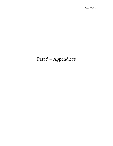## Part 5 – Appendices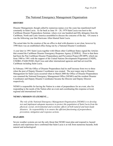#### The National Emergency Management Organisation

#### **HISTORY**

Disaster Management, though called by numerous names over the years has manifested itself constantly in Saint Lucia. As far back as June  $10 - 20$ , 1979 Saint Lucia was host to the Caribbean Disaster Preparedness Seminar, where over one hundred and fifty delegates from the Caribbean, North and Latin America assembled to discuss the concerns of the day. Of course it was the following year that Hurricane Allen blasted Saint Lucia.

The actual date for the creation of the an office to deal with disasters is not clear, however by 1990 there was an established office being run by a National Disaster Coordinator.

A year later in 1991 Saint Lucia together with fifteen other Caribbean States signed the Articles that created the Caribbean Disaster Emergency Response Agency [CDERA]. Prior to that there had been the Pan Caribbean Disaster Preparedness and Prevention Project [PCDPP], which ran from 1980 to 1991 with the support of the United Nations Development Programme (UNDP), UNDRO, PAHO/WHO, Red Cross and other international agencies and had serviced the Caribbean including Saint Lucia.

In February 1995 the Office of Disaster Preparedness had its staff increase from two to three when the post of Deputy Disaster Coordinator was created. The next major step in Disaster Management for Saint Lucia occurred when in March 2000 the Office of Disaster Preparedness was renamed the National Emergency Management Office (NEMO) and the resident Disaster Coordinator and Deputy Disaster Coordinator became the Director and Deputy Director respectively.

NEMO is responsible for having the Nation in a state of preparedness for an event, also for responding to the needs of the Nation after an event and coordinating this response at local, regional and international levels.

#### **NEMO's MISSION STATEMENT…**

*The role of the National Emergency Management Organisation [NEMO] is to develop, test and implement adequate measures to protect the population of Saint Lucia from the physical, social, environmental and economic effects of both natural and man-made disasters. Its responsibility is to ensure the efficient functioning of preparedness, prevention, mitigation and response actions.* 

#### **HAZARDS**

Severe weather systems are not the only threat that NEMO must plan and respond to; hazard analysis and experience have confirmed that Saint Lucia is at risk from numerous hazards, both natural and technological: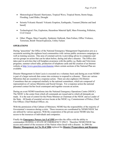- Meteorological Hazard: Hurricanes, Tropical Wave, Tropical Storm, Storm Surge, Flooding, Land Slides, Drought
- Seismic/Volcanic Hazard: Volcanic Eruption, Earthquake, Tsunami [Marine and land based]
- Technological: Fire, Explosion, Hazardous Material Spill, Mass Poisoning, Pollution, Civil Unrest
- Other: Plague, Mass Causality, Epidemic Outbreak, Dam Failure, Office Violence, Terrorism, Bomb Threat/Explosion, Utility Failure

#### **OPERATIONS**

During "peacetime" the Office of the National Emergency Management Organisation acts as a secretariat assisting the eighteen local communities with various public awareness campaigns as well as training sessions. One area of constant activity is providing advice to companies and service groups on action that can be taken before, during and after a disaster. The Office also takes part in activities that will heighten awareness with the public e.g. Radio and Television programs, summer school talks, production of telephone cards and the creation of an Internet website at http://www.geocities.com/slunemo where certain sections of the National Plan are available.

Disaster Management in Saint Lucia is executed on a voluntary basis and during an event NEMO is part of a larger network that comes into existence to respond to a disaster. There are various Ministries that are essential to a response action. There are also eighteen (18) District Committees that are composed similarly to the national committees, which are composed of representatives of various Ministries and Social Groups. For a response action the national personnel contact his/her local counterpart and together execute an action.

During an event NEMO transforms into the National Emergency Operations Centre (NEOC). The NEOC is the center from which all commands are issued and to which all demands are made. It is the seat of control for the Prime Minister as Chairman of the NEOC and as Leader of the State. All heads of essential services locate at the NEOC e.g. Commissioner of Police, Chief Fire Officer, Chief Medical Officer, etc.

With the permission of the Cabinet of Ministers; NEMO has the responsibility of the majority of Government's resources during a crisis. These resources are coordinated by NEMO/NEOC but are utilized by various agencies. With the cooperation of the private sector NEMO also has access to the resources of individuals and companies.

Finally the **Emergency Powers Act 5 of 1995** provides the office with the ability to commandeer DURING A STATE OF EMERGENCY ONLY. Therefore NEMO/NEOC has access and control of the resources of the Nation when faced with a disaster. In 2006 the **Disaster Management Act No 30 of 2006** replaced the **Disaster Preparedness and Response**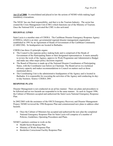**Act 13 of 2000**. It consolidated and placed in law the actions of NEMO while making legal mandatory evacuations.

The NEOC has one final responsibility, and that is to the Tourism Industry. The sector has created the Crisis Management Unit (CMU) which functions out of the Ministry of Tourism. Once the National EOC is activated the CMU is also activated.

#### **REGIONAL LINKS**

Saint Lucia is a member state of CDERA. The Caribbean Disaster Emergency Response Agency (CDERA), which is an inter- governmental regional disaster management organisation established in 1991 by an Agreement of Heads of Government of the Caribbean Community (CARICOM). Its headquarters are located in Barbados.

CDERA has three (3) principle organs:

- The Council is the supreme policy making body and is comprised of the Heads of Government of the Participating States or their designated representatives. It meets annually to review the work of the Agency, approve its Work Programme and Administrative Budget and make any other major policy decisions required.
- The Board of Directors is made up of the National Disaster Coordinators of Participating States, with the Coordinator (see below) as Chairman. The Board serves in a technical advisory capacity and makes recommendations to Council on matters such as those mentioned above.
- The Coordinating Unit is the administrative headquarters of the Agency and is located in Barbados. It is responsible for executing the activities of the Agency and conducting its dayto-day business. Source: CDERA 2001

#### **RESPONSE PLANS**

Disaster Management is not conducted on an ad hoc manner. There are plans and procedures to be followed and no two hazards are responded to in the same manner. As such in August 1996, the Cabinet of Ministers accepted and authorized the Saint Lucia National Emergency Response Plan.

In 2002/2003 with the assistance of the OECS Emergency Recovery and Disaster Management Project, NEMO reviewed the 1996 Response Plan and commissioned new plans to address other hazards.

• Once the Cabinet of Ministers has accepted and authorized the new plan the completed National Emergency Response Plan for Saint Lucia will comprise of a number of Policies, Guidelines, Operating Procedures and Plans.

NEMO's partners continue to work on the:

- Health Sector Response Plan
- Ministry of Works Response Plan
- Borderlais Correctional Facility Response Plan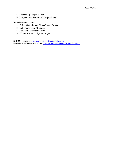- Cruise Ship Response Plan
- Hospitality Industry Crisis Response Plan

While NEMO works on:

- Policy Guidelines on Mass Crowds Events
- Policy on Hazard Mitigation
- Policy on Displaced Persons
- Natural Hazard Mitigation Program

NEMO's Homepage: http://www.geocities.com/slunemo NEMO's Press Releases Archive: http://groups.yahoo.com/group/slunemo/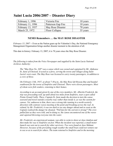| February 1, 1996  | Victoria Fire         | 10 years |
|-------------------|-----------------------|----------|
| February 11, 1996 | Patterson Gap Fire    | 10 years |
| February 13, 1937 | May Rose Disaster     | 70 years |
| March 25, 1972    | <b>Floor Collapse</b> | 35 years |

### **Saint Lucia 2006/2007 – Disaster Diary**

#### **NEMO Remembers … the MAY ROSE DISASTER**

*February 13, 2007* -- Even as the Nation gears up for Valentine's Day, the National Emergency Management Organisation brings another disaster moment to the attention of all.

This date in history: February 13, 2007; it is 70 years since the May Rose Disaster.

*The following is taken from the Voice Newspaper and supplied by the Saint Lucia National Archives Authority:* 

*The "May Rose No. 349" was a canoe which was owned and captained by Mr. Alphonse St. Juste of Choiseul. It acted as a ferry, serving the towns and villages along Saint Lucia's west coast. The May Rose was licensed to carry twenty passengers, in addition to a crew of three.* 

*On February 13th, 1937, at about 7:30 p.m., the May Rose left Roseau Bay and headed southward for the towns of Soufriére and Choiseul. There were eleven passengers. Most of whom were fish vendors, returning to their homes.* 

*According to an account given by one of the crew members, Mr. Albertin Frederick, the trip was proceeding well, up until about two miles from Soufriére, near a spot called Pointe Grand Caille. There, Captain St. Juste made the decision to turn the canoe seaward and travel outside a nearby reef, rather than inside it, as was the custom for canoes. Yet, unknown to him, there was a strong tide running in a north-westerly direction with contrary waves meeting at the point and breaking across the reef. As related, by Mr. Frederick, it was too dark to see any danger ahead and as soon as the Captain realized the danger he shouted, "Pull fast for the current is strong!" The crew pulled fast as they were told, and in doing so, the canoe encountered one of the waves and capsized throwing everyone into the water.* 

*Mr. Frederick, an experienced seaman, was able to swim to shore at Anse Jambon and then make his way to Soufriére on foot. When the incident was reported, a small motor*  launch was sent out to search for other survivors. Two were found at Anse Mahaut. *However, because of the prevailing rough weather the small boat could not venture out to sea so as to search for others. The team returned to Soufriére and in the morning*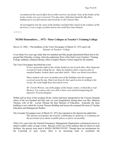recommenced the search effort but no other survivor was found. None of the bodies of the *twelve victims was ever recovered. Two days later, fishermen found the May Rose drifting out to sea off Canaries and towed her to the Canaries Bay.* 

*An investigation into the cause of the mishap concluded that, based on the evidence of the survivors, it was a tragic accident and no one could have been blamed.* 

 $~\sim$ \* $~\sim$ \* $~\sim$ \* $~\sim$ 

#### **NEMO Remembers… 1972 - Floor Collapse at Teacher's Training College**

*March 23, 2006* -- The headlines of the Voice Newspaper of March 25, 1972 said it all: *Disaster At Teachers' College* 

It was thirty five years ago today that two hundred and fifty people plummeted fifteen feet to the ground that Thursday evening, when the auditorium floor of the Saint Lucia Teachers' Training College suddenly collapsed during a Miss Complex Beauty Contest staged by the students.

The Voice Newspaper described the event:

*It was a gruesome sight as the victims landed on top of each other, their desperate screams for help renting the air. Many lay helpless under a massive pile of smashed lumber, broken chairs and other debris. There was blood everywhere.* 

*Those students who were in another part of the building when the tragedy occurred saved the day. Had it not been for their quick action in rushing to the rescue, the result might have been much worse.* 

*Mr. Vernon Warner, one of the judges of the beauty contest, worked like a reallife hero. Car-owners who were able to drive soon started transporting the injured to Victoria Hospital.* 

Within half an hour of the accident all the victims had been transported to the Victoria Hospital where of the two hundred and fifty only six were hospitalized, among them was Mrs. Marjorie Thomas, wife of Mr. Leyton Thomas the then Minister of Education. Ironically the same building is now called the Leyton Thomas Building and houses the renamed Division of Teacher Education and Management Studies.

The Crusader Newspaper issue of March 25, 1972 also reported on the disaster but added this: *This disaster precipitates the need for establishing an Authority or Committee for the prevention of accidents in public places or places of assembly.* 

Thirty five years later the National Emergency Management Organisation commenced moves to improve public safety at large events. Because of the size of the audience that are drawn to such facilities the generic term used is MASS CROWD EVENT. Though there are mechanisms for the Licensing of such events, there is an increasing need to coordinate the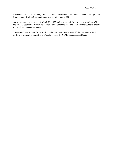Licensing of such Shows, and so the Government of Saint Lucia through the Membership of NEMO began circulating the Guidelines in 2005.

As we remember the events of March 23, 1972 and express relief that there was no loss of life, the NEMO Secretariat repeats its call for Saint Lucians to read the Mass Events Guide to ensure that such incidents don't repeat.

The Mass Crowd Events Guide is still available for comment at the Official Documents Section of the Government of Saint Lucia Website or from the NEMO Secretariat at Biseé.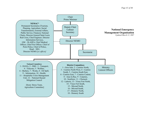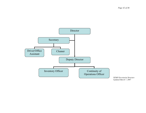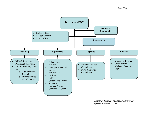

*National Incident Management System Updated November 8th, 2004*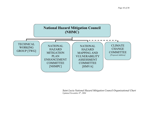

*Saint Lucia National Hazard Mitigation Council Organisational Chart Updated November 8th, 2004*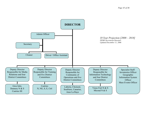